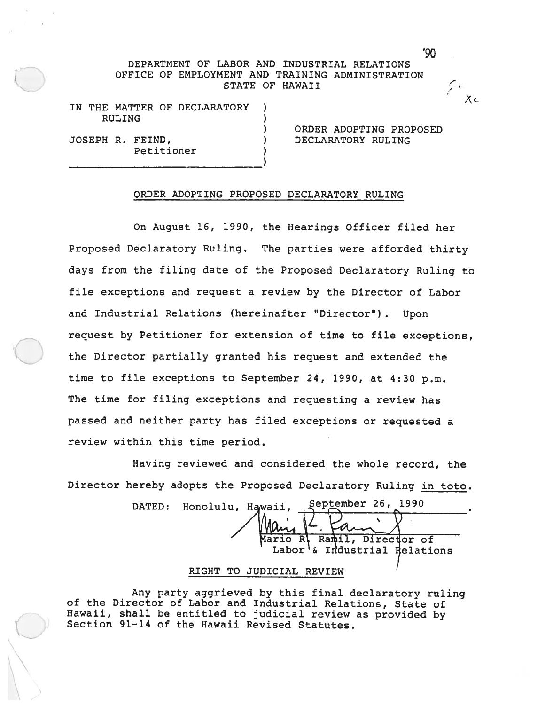# DEPARTMENT OF LABOR AND INDUSTRIAL RELATIONS OFFICE OF EMPLOYMENT AND TRAINING ADMINISTRATION STATE OF HAWAII

IN THE MATTER OF DECLARATORY RULING

JOSEPH R. FEIND, ) DECLARATORY RULING Petitioner

ORDER ADOPTING PROPOSED

9O

 $X \subset$ 

#### ORDER ADOPTING PROPOSED DECLARATORY RULING

On August 16, 1990, the Hearings Officer filed her Proposed Declaratory Ruling. The parties were afforded thirty days from the filing date of the Proposed Declaratory Ruling to file exceptions and reques<sup>t</sup> <sup>a</sup> review by the Director of Labor and Industrial Relations (hereinafter "Director") . Upon reques<sup>t</sup> by Petitioner for extension of time to file exceptions, the Director partially granted his reques<sup>t</sup> and extended the time to file exceptions to September 24, 1990, at 4:30 p.m. The tine for filing exceptions and requesting <sup>a</sup> review has passe<sup>d</sup> and neither party has filed exceptions or requested <sup>a</sup> review within this time period.

Having reviewed and considered the whole record, the Director hereby adopts the Proposed Declaratory Ruling in toto.

DATED: Honolulu, Hawaii, .September 26, 1990  $M$ ain K Mario R\ Ramil, Director of Labor<sup>1</sup>& Industrial Relations

### RIGHT TO JUDICIAL REVIEW

Any party aggrieved by this final declaratory ruling of the Director of Labor and Industrial Relations, State of Hawaii, shall be entitled to judicial review as provided by Section 91-14 of the Hawaii Revised Statutes.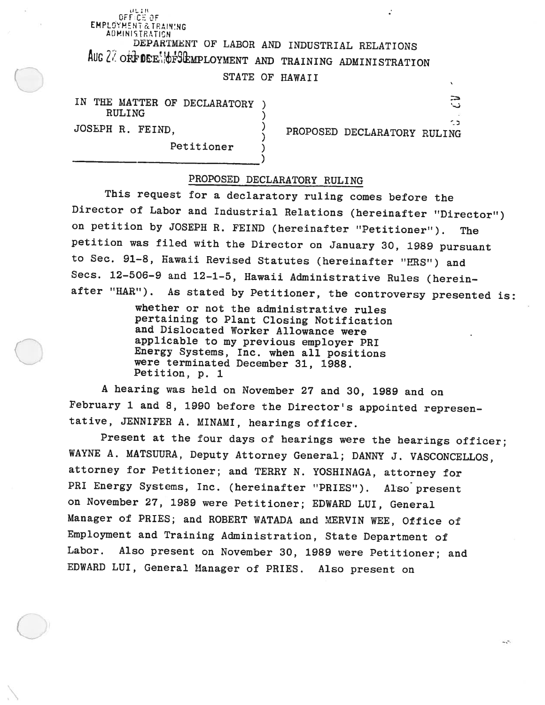# DFF CE<br>DFF CE EMPLOYMENT & TRAINING ADMINISTRATION DEPARTMENT OF LABOR AND INDUSTRIAL RELATIONS AUG 27 ORFIDER OF SEMPLOYMENT AND TRAINING ADMINISTRATION STATE OF HAWAII

IN THE MATTER OF DECLARATORY RULING

Petitioner

JOSEPH R. FEIND, PROPOSED DECLARATORY RULING

- -

# PROPOSED DECLARATORY RULING

)

This request for <sup>a</sup> declaratory ruling comes before the Director of Labor and Industrial Relations (hereinafter "Director") on petition by JOSEPH R. FEIND (hereinafter "Petitioner"). The petition was filed with the Director on January 30, <sup>1989</sup> pursuant to Sec. 91—8, Hawaii Revised Statutes (hereinafter "HRS") and Secs. 12-506-9 and 12-1-5, Hawaii Administrative Rules (hereinafter "HAR"). As stated by Petitioner, the controversy presented is:

> whether or not the administrative rules pertaining to Plant Closing Notification and Dislocated Worker Allowance were applicable to my previous employer PRI Energy Systems, Inc. when all positions were terminated December 31, 1988. Petition, p. <sup>1</sup>

<sup>A</sup> hearing was held on November <sup>27</sup> and 30, <sup>1989</sup> and on February <sup>1</sup> and 8, <sup>1990</sup> before the Director's appointed represen tative, JENNIFER A. MINAMI, hearings officer.

Present at the four days of hearings were the hearings officer; WAYNE A. MATSUURA, Deputy Attorney General; DANNY J. VASCONCELLOS, attorney for Petitioner; and TERRY N. YOSHINAGA, attorney for PRI Energy Systems, Inc. (hereinafter "PRIES"). Also present on November 27, <sup>1989</sup> were Petitioner; EDWARD LUI, General Manager of PRIES; and ROBERT WATADA and MERVIN WEE, Office of Employment and Training Administration, State Department of Labor. Also present on November 30, <sup>1989</sup> were Petitioner; and EDWARD LUI, General Manager of PRIES. Also present on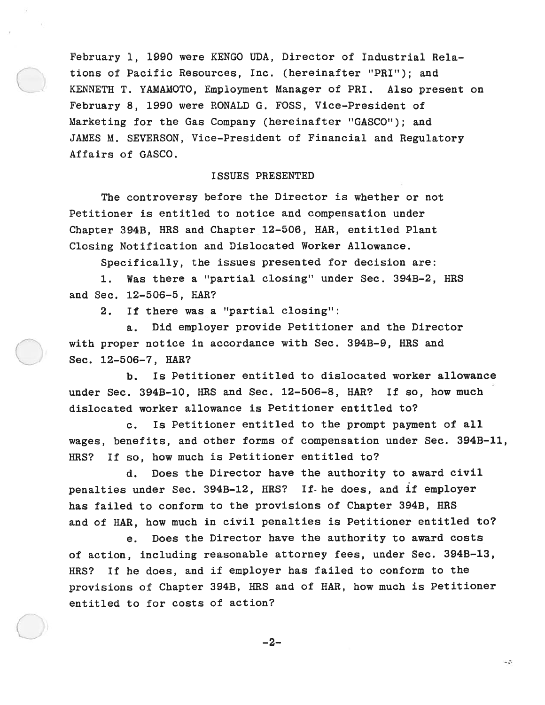February 1, 1990 were KENGO UDA, Director of Industrial Rela tions of Pacific Resources, Inc. (hereinafter "PRI"); and KENNETH T. YAMAMOTO, Employment Manager of PRI. Also presen<sup>t</sup> on February 6, 1990 were RONALD G. FOSS, Vice—President of Marketing for the Gas Company (hereinafter "GASCO"); and JAMES M. SEVERSON, Vice—President of Financial and Regulatory Affairs of GASCO.

## ISSUES PRESENTED

The controversy before the Director is whether or not Petitioner is entitled to notice and compensation under Chapter 3943, HRS and Chapter 12—506, HAR, entitled Plant Closing Notification and Dislocated Worker Allowance.

Specifically, the issues presented for decision are:

1. Was there <sup>a</sup> "partial closing" under Sec. 394B—2, HRS and Sec. 12-506-5, HAR?

2. If there was <sup>a</sup> "partial closing":

a. Did employer provide Petitioner and the Director with proper notice in accordance with Sec. 394B—9, HRS and Sec. 12—506—7, HAR?

b. Is Petitioner entitled to dislocated worker allowance under Sec. 394B-10, HRS and Sec. 12-506-8, HAR? If so, how much dislocated worker allowance is Petitioner entitled to?

c. Is Petitioner entitled to the promp<sup>t</sup> paymen<sup>t</sup> of all wages, benefits, and other forms of compensation under Sec. 3943—11, HRS? If so, how much is Petitioner entitled to?

d. Does the Director have the authority to award civil penalties under Sec. 3943—12, HRS? If- he does, and if employer has failed to conform to the provisions of Chapter 394B, HRS and of HAR, how much in civil penalties is Petitioner entitled to?

e. Does the Director have the authority to award costs of action, including reasonable attorney fees, under Sec. 394B—13, HRS? If he does, and if employer has failed to conform to the provisions of Chapter 394B, fIRS and of HAR, how much is Petitioner entitled to for costs of action?

$$
-2-
$$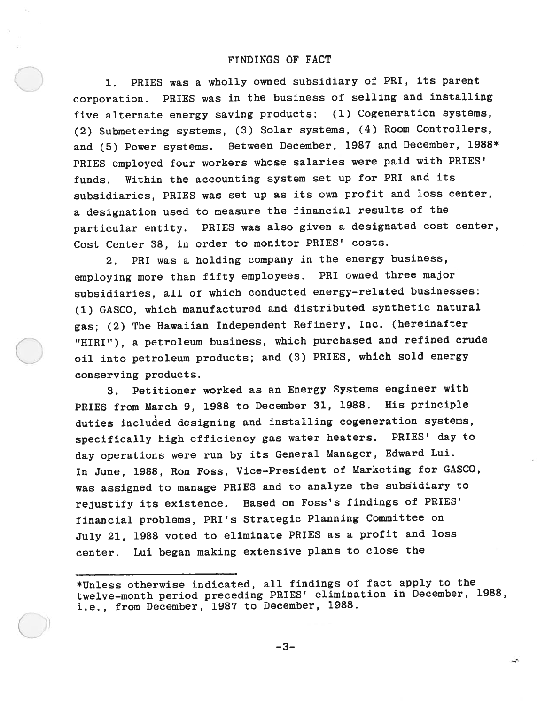## FINDINGS OF FACT

1. PRIES was <sup>a</sup> wholly owned subsidiary of PRI, its paren<sup>t</sup> corporation. PRIES was in the business of selling and installing five alternate energy saving products: (1) Cogeneration systems, (2) Submetering systems, (3) Solar systems, (4) Room Controllers, and (5) Power systems. Between December, <sup>1987</sup> and December, 1988\* PRIES employed four workers whose salaries were paid with PRIES' funds. Within the accounting system set up for PRI and its subsidiaries, PRIES was set up as its own profit and loss center, <sup>a</sup> designation used to measure the financial results of the particular entity. PRIES was also <sup>g</sup>iven <sup>a</sup> designated cost center, Cost Center 38, in order to monitor PRIES' costs.

2. PRI was <sup>a</sup> holding company in the energy business, employing more than fifty employees. PRI owned three major subsidiaries, all of which conducted energy—related businesses: (1) GASCO, which manufactured and distributed synthetic natural gas; (2) The Hawaiian Independent Refinery, Inc. (hereinafter "HIRI"), <sup>a</sup> petroleum business, which purchased and refined crude oil into petroleum products; and (3) PRIES, which sold energy conserving products.

3. Petitioner worked as an Energy Systems engineer with PRIES from March 9, <sup>1988</sup> to December 31, 1988. His principle duties included designing and installing cogeneration systems, specifically high efficiency gas water heaters. PRIES' day to day operations were run by its General Manager, Edward Lui. In June, 1988, Ron Foss, Vice—President of Marketing for GASCO, was assigned to manage PRIES and to analyze the subsidiary to rejustify its existence. Based on Foss's findings of PRIES' financial problems, PRI's Strategic Planning Committee on July 21, <sup>1988</sup> voted to eliminate PRIES as <sup>a</sup> profit and loss center. Lui began making extensive <sup>p</sup>lans to close the

\*Unless otherwise indicated, all findings of fact apply to the twelve-month period preceding PRIES' elimination in December, 1988, i.e., from December, 1987 to December, 1988.

45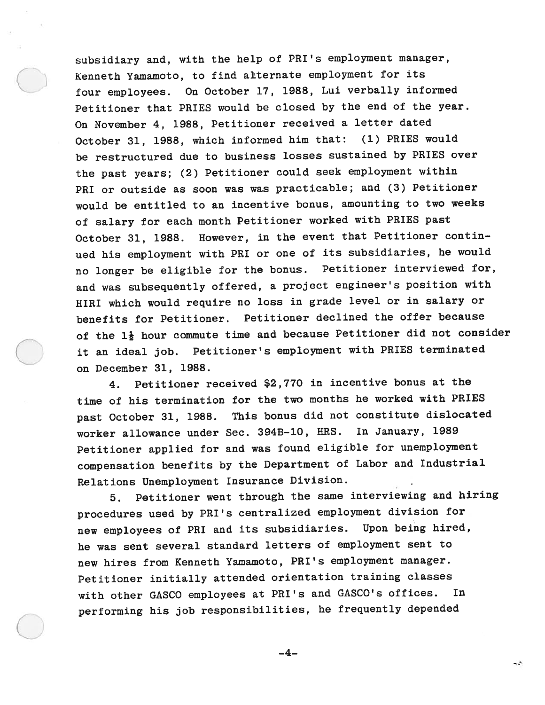subsidiary and, with the help of PRI's employment manager, Kenneth Yamamoto, to find alternate employment for its four employees. On October 17, 1988, Lui verbally informed Petitioner that PRIES would be closed by the end of the year. On November 4, 1988, Petitioner received <sup>a</sup> letter dated October 31, 1988, which informed him that: (1) PRIES would be restructured due to business losses sustained by PRIES over the pas<sup>t</sup> years; (2) Petitioner could seek employment within PRI or outside as soon was was practicable; and (3) Petitioner would be entitled to an incentive bonus, amounting to two weeks of salary for each month Petitioner worked with PRIES pas<sup>t</sup> October 31, 1988. However, in the event that Petitioner contin ued his employment with PRI or one of its subsidiaries, he would no longer be eligible for the bonus. Petitioner interviewed for, and was subsequently offered, <sup>a</sup> project engineer's position with HIRI which would require no loss in grade level or in salary or benefits for Petitioner. Petitioner declined the offer because of the  $1\frac{1}{2}$  hour commute time and because Petitioner did not consider it an ideal job. Petitioner's employment with PRIES terminated on December 31, 1988.

4. Petitioner received \$2,770 in incentive bonus at the time of his termination for the two months he worked with PRIES pas<sup>t</sup> October 31, 1988. This bonus did not constitute dislocated worker allowance under Sec. 394B—lO, HRS. In January, 1989 Petitioner applied for and was found eligible for unemployment compensation benefits by the Department of Labor and Industrial Relations Unemployment Insurance Division.

5. Petitioner went through the same interviewing and hiring procedures used by PRI's centralized employment division for new employees of PRI and its subsidiaries. Upon being hired, he was sent several standard letters of employment sent to new hires from Kenneth Yamamoto, PRI's employment manager. Petitioner initially attended orientation training classes with other GASCO employees at PRI's and GASCO's offices. In performing his job responsibilities, he frequently depended

—4—

- -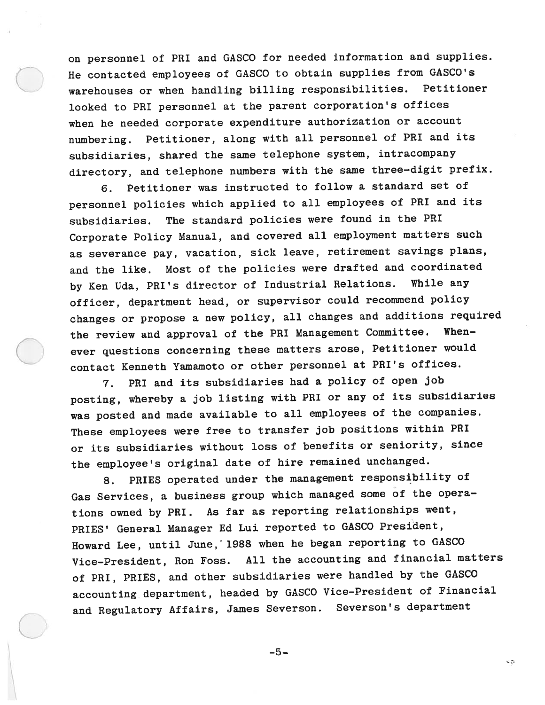on personne<sup>l</sup> of PHI and GASCO for needed information and supplies. He contacted employees of GASCO to obtain supplies from GASCO's warehouses or when handling billing responsibilities. Petitioner looked to PRI personne<sup>l</sup> at the paren<sup>t</sup> corporation's offices when he needed corporate expenditure authorization or account numbering. Petitioner, along with all personne<sup>l</sup> of PHI and its subsidiaries, shared the same telephone system, intracompany directory, and telephone numbers with the same three—digit prefix.

6. Petitioner was instructed to follow <sup>a</sup> standard set of personne<sup>l</sup> policies which applied to all employees of PRI and its subsidiaries. The standard policies were found in the PRI Corporate Policy Manual, and covered all employment matters such as severance pay, vacation, sick leave, retirement savings <sup>p</sup>lans, and the like. Most of the policies were drafted and coordinated by Ken Uda, PHI's director of Industrial Relations. While any officer, department head, or supervisor could recommend policy changes or propose <sup>a</sup> new policy, all changes and additions required the review and approval of the PRI Management Committee. Whenever questions concerning these matters arose, Petitioner would contact Kenneth Yamamoto or other personne<sup>l</sup> at PHI's offices.

7. PHI and its subsidiaries had <sup>a</sup> policy of open job posting, whereby <sup>a</sup> job listing with PRI or any of its subsidiaries was posted and made available to all employees of the companies. These employees were free to transfer job positions within PHI or its subsidiaries without loss of benefits or seniority, since the employee's original date of hire remained unchanged.

8. PRIES operated under the managemen<sup>t</sup> responsibility of Gas Services, <sup>a</sup> business group which manage<sup>d</sup> some of the opera tions owned by PRI. As far as reporting relationships went, PRIES' General Manager Ed Lui reported to GASCO President, Howard Lee, until June, 1988 when he began reporting to GASCO Vice—President, Ron Foss. All the accounting and financial matters of PRI, PRIES, and other subsidiaries were handled by the GASCO accounting department, headed by GASCO Vice—President of Financial and Regulatory Affairs, James Severson. Severson's department

 $-5-$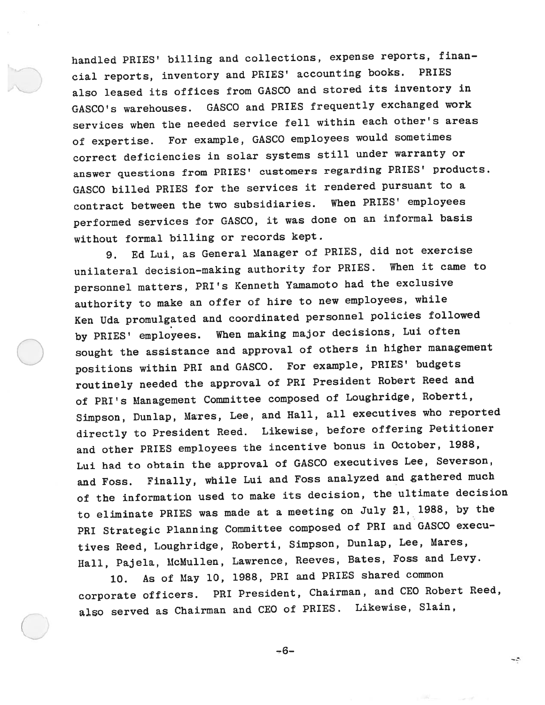handled PRIES' billing and collections, expense reports, finan cial reports, inventory and PRIES' accounting books. PRIES also leased its offices from GASCO and stored its inventory in GASCO's warehouses. GASCO and PRIES frequently exchanged work services when the needed service fell within each other's areas of expertise. For example, GASCO employees would sometimes correct deficiencies in solar systems still under warranty or answer questions from PRIES' customers regarding PRIES' products. GASCO billed PRIES for the services it rendered pursuan<sup>t</sup> to <sup>a</sup> contract between the two subsidiaries. When PRIES' employees performed services for GASCO, it was done on an informal basis without formal billing or records kept.

9. Ed Lui, as General Manager of PRIES, did not exercise unilateral decision—making authority for PRIES. When it came to personne<sup>l</sup> matters, PRI's Kenneth Yamamoto had the exclusive authority to make an offer of hire to new employees, while Ken Uda promulgated and coordinated personne<sup>l</sup> policies followed by PRIES' employees. When making major decisions, Lui often sought the assistance and approva<sup>l</sup> of others in higher managemen<sup>t</sup> positions within PRI and GASCO. For example, PRIES' budgets routinely needed the approva<sup>l</sup> of PRI President Robert Reed and of PRI's Management Committee compose<sup>d</sup> of Loughridge, Roberti, Simpson, Dunlap, Mares, Lee, and Hall, all executives who reported directly to President Reed. Likewise, before offering Petitioner and other PRIES employees the incentive bonus in October, 1988, Lui had to obtain the approva<sup>l</sup> of GASCO executives Lee, Severson, and Foss. Finally, while Lui and Foss analyzed and gathered much of the information used to make its decision, the ultimate decision to eliminate PRIES was made at <sup>a</sup> meeting on July 21, 1988, by the PRI Strategic Planning Committee compose<sup>d</sup> of PRI and GASCO execu tives Reed, Loughridge, Roberti, Simpson, Dunlap, Lee, Mares, Hall, Pajela, McMullen, Lawrence, Reeves, Bates, Foss and Levy.

10. As of May 10, 1988, PRI and PRIES shared common corporate officers. PRI President, Chairman, and CEO Robert Reed, also served as Chairman and CEO of PRIES. Likewise, Slain,

-6—

-2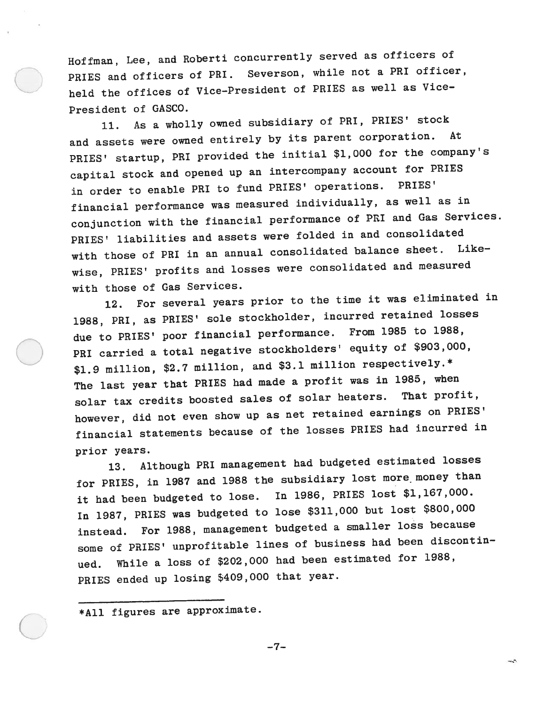Hoffman, Lee, and Roberti concurrently served as officers of PRIES and officers of PRI. Severson, while not a PRI officer, held the offices of Vice-President of PRIES as well as Vice-President of GASCO.

 $11.$ As a wholly owned subsidiary of PRI, PRIES' stock and assets were owned entirely by its paren<sup>t</sup> corporation. At PRIES' startup, PRI provided the initial \$1,000 for the company's capital stock and opene<sup>d</sup> up an intercompany account for PRIES in order to enable PRI to fund PRIES' operations. PRIES' financial performance was measured individually, as well as in conjunction with the financial performance of PM and Gas Services. PRIES' liabilities and assets were folded in and consolidated with those of PRI in an annual consolidated balance sheet. Like wise, PRIES' profits and losses were consolidated and measured with those of Gas Services.

12. For several years prior to the time it was eliminated in 1988, PRI, as PRIES' sole stockholder, incurred retained losses due to PRIES' poor financial performance. From <sup>1985</sup> to 1988, PRI carried <sup>a</sup> total negative stockholders' equity of \$903,000, \$1.9 million, \$2.7 million, and \$3.1 million respectively.\* The last year that PRIES had made <sup>a</sup> profit was in 1985, when solar tax credits boosted sales of solar heaters. That profit, however, did not even show up as net retained earnings on PRIES' financial statements because of the losses PRIES had incurred in prior years.

13. Although PRI managemen<sup>t</sup> had budgeted estimated losses for PRIES, in <sup>1987</sup> and <sup>1988</sup> the subsidiary lost more money than it had been budgeted to lose. In 1986, PRIES lost \$1,167,000. In 1987, PRIES was budgeted to lose \$311,000 but lost \$800,000 instead. For 1988, managemen<sup>t</sup> budgeted <sup>a</sup> smaller loss because some of PRIES' unprofitable lines of business had been discontin ued. While <sup>a</sup> loss of \$202,000 had been estimated for 1988, PRIES ended up losing \$409,000 that year.

\*All figures are approximate.

—7—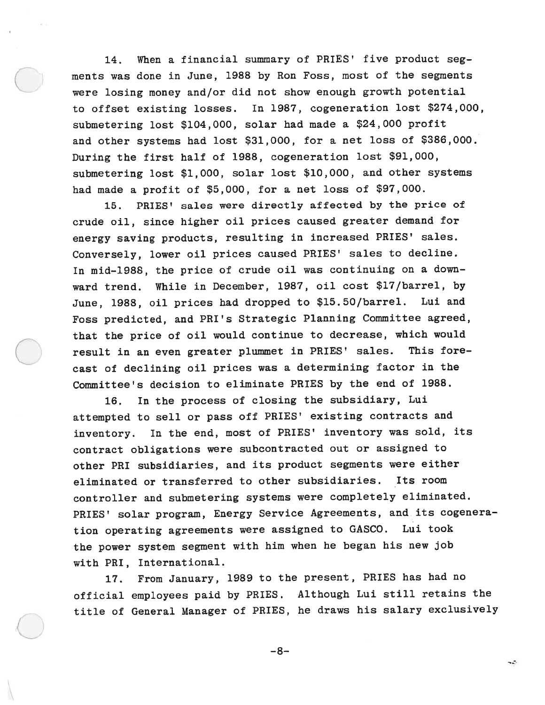14. When <sup>a</sup> financial summary of PRIES' five product seg ments was done in June, 1988 by Ron Foss, most of the segments were losing money and/or did not show enoug<sup>h</sup> growth potential to offset existing losses. In 1987, cogeneration lost \$274,000, submetering lost \$104,000, solar had made <sup>a</sup> \$24,000 profit and other systems had lost \$31,000, for <sup>a</sup> net loss of \$386,000. During the first half of 1988, cogeneration lost \$91,000, submetering lost \$1,000, solar lost \$10,000, and other systems had made <sup>a</sup> profit of \$5,000, for <sup>a</sup> net loss of \$97,000.

15. PRIES' sales were directly affected by the price of crude oil, since higher oil prices caused greater demand for energy saving products, resulting in increased PRIES' sales. Conversely, lower oil prices caused PRIES' sales to decline. In mid-1988, the price of crude oil was continuing on a downward trend. While in December, 1987, oil cost \$17/barrel, by June, 1988, oil prices had dropped to \$15.50/barrel. Lui and Foss predicted, and PRI's Strategic Planning Committee agreed, that the price of oil would continue to decrease, which would result in an even greater <sup>p</sup>lummet in PRIES' sales. This fore cast of declining oil prices was <sup>a</sup> determining factor in the Committee's decision to eliminate PRIES by the end of 1988.

16. In the process of closing the subsidiary, Lui attempted to sell or pass off PRIES' existing contracts and inventory. In the end, most of PRIES' inventory was sold, its contract obligations were subcontracted out or assigned to other PRI subsidiaries, and its product segments were either eliminated or transferred to other subsidiaries. Its room controller and submetering systems were completely eliminated. PRIES' solar program, Energy Service Agreements, and its cogenera tion operating agreements were assigned to GASCO. Lui took the power system segmen<sup>t</sup> with him when he began his new job with PRI, International.

17. From January, <sup>1989</sup> to the present, PRIES has had no official employees paid by PRIES. Although Lui still retains the title of General Manager of PRIES, he draws his salary exclusively

—8—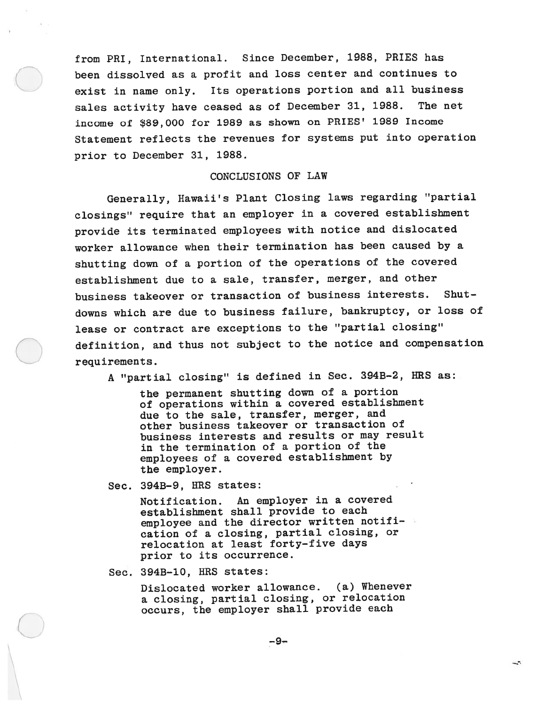from PRI, International. Since December, 1988, PRIES has been dissolved as <sup>a</sup> profit and loss center and continues to exist in name only. Its operations portion and all business sales activity have ceased as of December 31, 1988. The net income of \$89,000 for 1989 as shown on PRIES' 1989 Income Statement reflects the revenues for systems pu<sup>t</sup> into operation prior to December 31, 1988.

# CONCLUSIONS OF LAW

Generally, Hawaii's Plant Closing laws regarding "partial closings" require that an employer in <sup>a</sup> covered establishment provide its terminated employees with notice and dislocated worker allowance when their termination has been caused by <sup>a</sup> shutting down of <sup>a</sup> portion of the operations of the covered establishment due to <sup>a</sup> sale, transfer, merger, and other business takeover or transaction of business interests. Shut downs which are due to business failure, bankruptcy, or loss of lease or contract are exceptions to the "partial closing" definition, and thus not subject to the notice and compensation requirements.

<sup>A</sup> "partial closing" is defined in Sec. 394B—2, IIRS as:

the permanen<sup>t</sup> shutting down of <sup>a</sup> portion of operations within <sup>a</sup> covered establishment due to the sale, transfer, merger, and other business takeover or transaction of business interests and results or may result in the termination of <sup>a</sup> portion of the employees of <sup>a</sup> covered establishment by the employer.

Sec. 394B-9, HRS states:

Notification. An employer in <sup>a</sup> covered establishment shall provide to each employee and the director written notification of <sup>a</sup> closing, partial closing, or relocation at least forty—five days prior to its occurrence.

Sec. 394B-10, HRS states:

Dislocated worker allowance. (a) Whenever <sup>a</sup> closing, partial closing, or relocation occurs, the employer shall provide each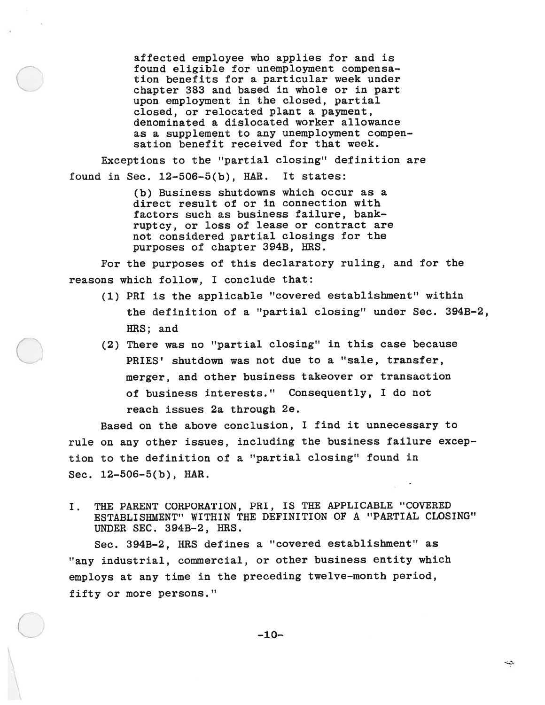affected employee who applies for and is found eligible for unemployment compensa tion benefits for <sup>a</sup> particular week under chapter 383 and based in whole or in par<sup>t</sup> upon employment in the closed, partial closed, or relocated plant <sup>a</sup> payment, denominated <sup>a</sup> dislocated worker allowance as <sup>a</sup> supplement to any unemployment compen sation benefit received for that week.

Exceptions to the "partial closing" definition are found in Sec.  $12-506-5(b)$ , HAR. It states:

> (b) Business shutdowns which occur as <sup>a</sup> direct result of or in connection with factors such as business failure, bank ruptcy, or loss of lease or contract are not considered partial closings for the purposes of chapter 394B, HRS.

For the purposes of this declaratory ruling, and for the reasons which follow, I conclude that:

- (1) PRI is the applicable "covered establishment" within the definition of <sup>a</sup> "partial closing" under Sec. 3943—2, lIES; and
- (2) There was no "partial closing" in this case because PRIES' shutdown was not due to <sup>a</sup> "sale, transfer, merger, and other business takeover or transaction of business interests." Consequently, I do not reach issues 2a through 2e.

Based on the above conclusion, I find it unnecessary to rule on any other issues, including the business failure excep tion to the definition of <sup>a</sup> "partial closing" found in Sec. 12—506—5(b), HAR.

I. THE PARENT CORPORATION, PRI, IS THE APPLICABLE "COVERED ESTABLISHMENT" WITHIN THE DEFINITION OF A "PARTIAL CLOSING" UNDER SEC. 394B-2, HRS.

Sec. 394B—2, HRS defines <sup>a</sup> "covered establishment" as "any industrial, commercial, or other business entity which employs at any time in the preceding twelve—month period, fifty or more persons."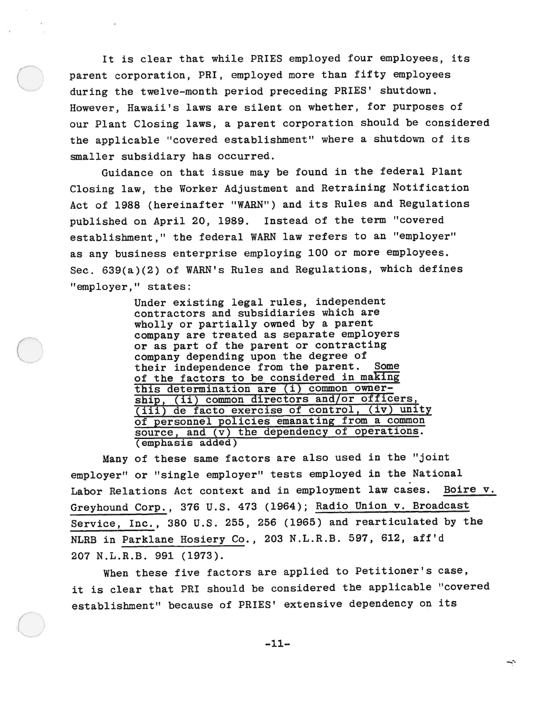It is clear that while PRIES employed four employees, its paren<sup>t</sup> corporation, PRI, employed more than fifty employees during the twelve—month period preceding PRIES' shutdown. However, Hawaii's laws are silent on whether, for purposes of our Plant Closing laws, <sup>a</sup> paren<sup>t</sup> corporation should be considered the applicable "covered establishment" where <sup>a</sup> shutdown of its smaller subsidiary has occurred.

Guidance on that issue may be found in the federal Plant Closing law, the Worker Adjustment and Retraining Notification Act of 1988 (hereinafter "WARN") and its Rules and Regulations published on April 20, 1989. Instead of the term "covered establishment," the federal WARN law refers to an "employer" as any business enterprise employing <sup>100</sup> or more employees. Sec. 639(a)(2) of WARN's Rules and Regulations, which defines "employer," states:

> Under existing legal rules, independent contractors and subsidiaries which are wholly or partially owned by <sup>a</sup> paren<sup>t</sup> company are treated as separate employers or as par<sup>t</sup> of the paren<sup>t</sup> or contracting company depending upon the degree of their independence from the parent. Some of the factors to be considered in making this determination are (i) common owner ship, (ii) common directors and/or officers, (iii) de facto exercise of control, (iv) unity of personne<sup>l</sup> policies emanating from <sup>a</sup> common source, and (v) the dependency of operations. (emphasis added)

Many of these same factors are also used in the "joint employer" or "single employer" tests employed in the National Labor Relations Act context and in employment law cases. Boire V. Greyhound Corp., <sup>376</sup> U.S. <sup>473</sup> (1964); Radio Union v. Broadcast Service, Inc., <sup>380</sup> U.S. 255, <sup>256</sup> (1965) and rearticulated by the NLRB in Parkiane Hosiery Co., <sup>203</sup> N.L.R.B. 597, 612, aff'd 207 N.L.R.B. 991 (1973).

When these five factors are applied to Petitioner's case, it is clear that PM should be considered the applicable "covered establishment" because of PRIES' extensive dependency on its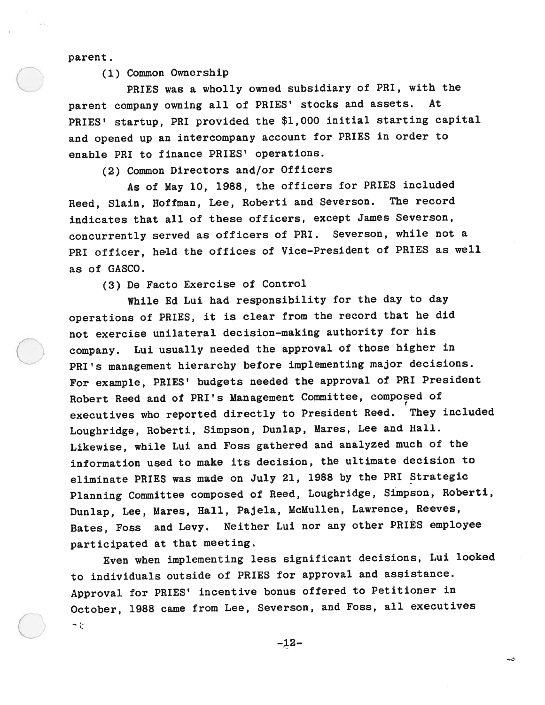parent.

(1) Common Ownership

PRIES was <sup>a</sup> wholly owned subsidiary of PRI, with the paren<sup>t</sup> company owning all of PRIES' stocks and assets. At PRIES' startup, PRI provided the \$1,000 initial starting capital and opene<sup>d</sup> up an intercompany account for PRIES in order to enable PRI to finance PRIES' operations.

(2) Common Directors and/or Officers

As of May 10, 1988, the officers for PRIES included Reed, Slain, Hoffman, Lee, Roberti and Severson. The record indicates that all of these officers, except James Severson, concurrently served as officers of PRI. Severson, while not <sup>a</sup> PRI officer, held the offices of Vice—President of PRIES as well as of GASCO.

(3) De Facto Exercise of Control

While Ed Lui had responsibility for the day to day operations of PRIES, it is clear from the record that he did not exercise unilateral decision—making authority for his company. Lui usually needed the approva<sup>l</sup> of those higher in PRI's managemen<sup>t</sup> hierarchy before implementing major decisions. For example, PRIES' budgets needed the approva<sup>l</sup> of PRI President Robert Reed and of PRI's Management Committee, compose<sup>d</sup> of executives who reported directly to President Reed. They included Loughridge, Roberti, Simpson, Dunlap, Mares, Lee and Hall. Likewise, while Lui and Foss gathered and analyzed much of the information used to make its decision, the ultimate decision to eliminate PRIES was made on July 21, <sup>1988</sup> by the PRI Strategic Planning Committee compose<sup>d</sup> of Reed, Loughridge, Simpson, Roberti, Dunlap, Lee, Mares, Hall, Pajela, McMullen, Lawrence, Reeves, Bates, Foss and Levy. Neither Lui nor any other PRIES employee participated at that meeting.

Even when implementing less significant decisions, Lui looked to individuals outside of PRIES for approva<sup>l</sup> and assistance. Approval for PRIES' incentive bonus offered to Petitioner in October, <sup>1988</sup> came from Lee, Severson, and Foss, all executives n iji

—12—

w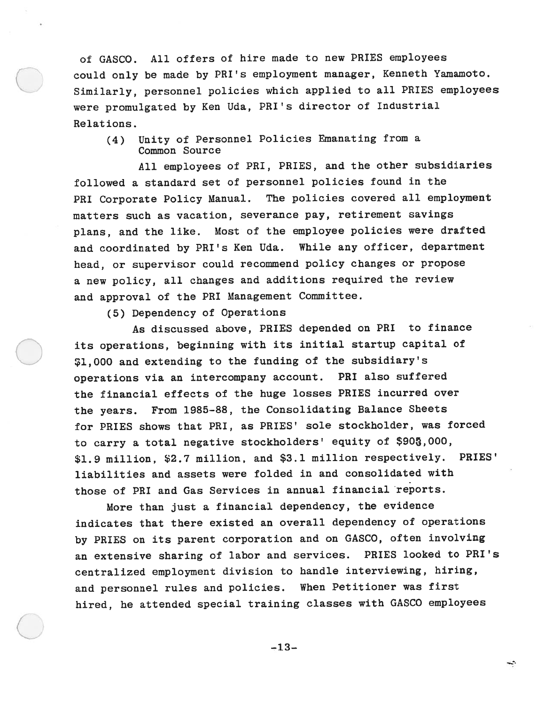of GASCO. All offers of hire made to new PRIES employees could only be made by PRI's employment manager, Kenneth Yamamoto. Similarly, personne<sup>l</sup> policies which applied to all PRIES employees were promulgated by Ken Uda, PRI's director of Industrial Relations.

(4) Unity of Personnel Policies Emanating from <sup>a</sup> Common Source

All employees of PRI, PRIES, and the other subsidiaries followed <sup>a</sup> standard set of personne<sup>l</sup> policies found in the PRI Corporate Policy Manual. The policies covered all employment matters such as vacation, severance pay, retirement savings <sup>p</sup>lans, and the like. Most of the employee policies were drafted and coordinated by PRI's Ken Uda. While any officer, department head, or supervisor could recommend policy changes or propose <sup>a</sup> new policy, all changes and additions required the review and approva<sup>l</sup> of the PRI Management Committee.

(5) Dependency of Operations

As discussed above, PRIES depended on PRI to finance its operations, beginning with its initial startup capital of SI,000 and extending to the funding of the subsidiary's operations via an intercompany account. PRI also suffered the financial effects of the huge losses PRIES incurred over the years. From 1985-88, the Consolidating Balance Sheets for PRIES shows that PRI, as PRIES' sole stockholder, was forced to carry a total negative stockholders' equity of \$903,000, \$1.9 million, \$2.7 million, and \$3.1 million respectively. PRIES' liabilities and assets were folded in and consolidated with those of PRI and Gas Services in annual financial reports.

More than just <sup>a</sup> financial dependency, the evidence indicates that there existed an overall dependency of operations by PRIES on its paren<sup>t</sup> corporation and on GASCO, often involving an extensive sharing of labor and services. PRIES looked to PRI's centralized employment division to handle interviewing, hiring, and personne<sup>l</sup> rules and policies. When Petitioner was first hired, he attended special training classes with GASCO employees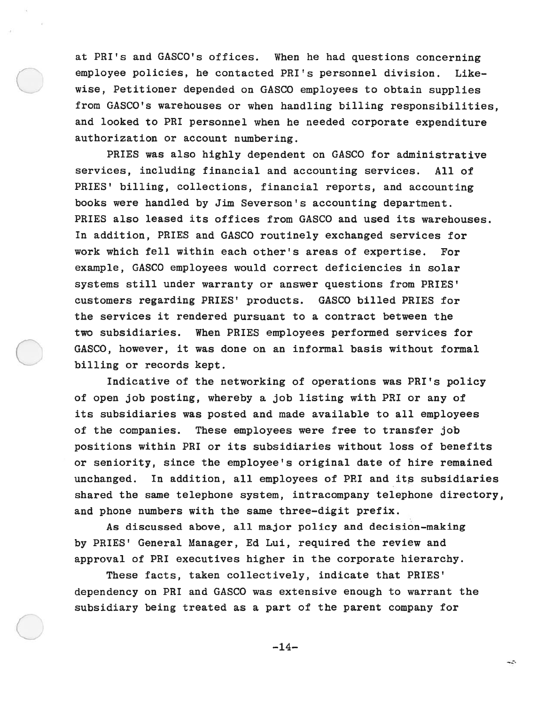at PRI's and GASCO's offices. When he had questions concerning employee policies, he contacted PRI's personnel division. Like wise, Petitioner depended on GASCO employees to obtain supplies from GASCO's warehouses or when handling billing responsibilities, and looked to PRI personne<sup>l</sup> when he needed corporate expenditure authorization or account numbering.

PRIES was also highly dependent on GASCO for administrative services, including financial and accounting services. All of PRIES' billing, collections, financial reports, and accounting books were handled by Jim Severson's accounting department. PRIES also leased its offices from GASCO and used its warehouses. In addition, PRIES and GASCO routinely exchanged services for work which fell within each other's areas of expertise. For example, GASCO employees would correct deficiencies in solar systems still under warranty or answer questions from PRIES' customers regarding PRIES' products. GASCO billed PRIES for the services it rendered pursuan<sup>t</sup> to <sup>a</sup> contract between the two subsidiaries. When PRIES employees performed services for GASCO, however, it was done on an informal basis without formal billing or records kept.

Indicative of the networking of operations was PRI's policy of open job posting, whereby <sup>a</sup> job listing with PRI or any of its subsidiaries was posted and made available to all employees of the companies. These employees were free to transfer job positions within PRI or its subsidiaries without loss of benefits or seniority, since the employee's original date of hire remained unchanged. In addition, all employees of PRI and its subsidiaries shared the same telephone system, intracompany telephone directory, and phone numbers with the same three—digit prefix.

As discussed above, all major policy and decision-making by PRIES' General Manager, Ed Lui, required the review and approval of PRI executives higher in the corporate hierarchy.

These facts, taken collectively, indicate that PRIES' dependency on PRI and GASCO was extensive enough to warrant the subsidiary being treated as <sup>a</sup> par<sup>t</sup> of the paren<sup>t</sup> company for

 $-14-$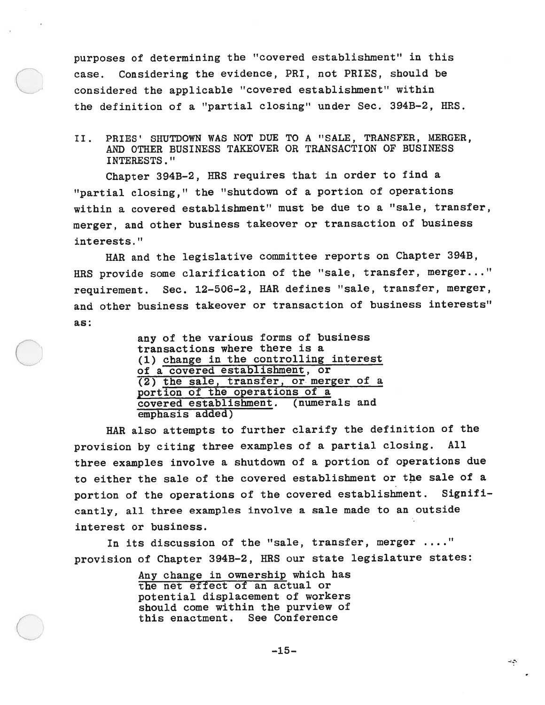purposes of determining the "covered establishment" in this case. Considering the evidence, PRI, not PRIES, should be considered the applicable "covered establishment" within the definition of <sup>a</sup> "partial closing" under Sec. 394B—2, HRS.

II. PRIES' SHUTDOWN WAS NOT DUE TO A "SALE, TRANSFER, MERGER, AND OTHER BUSINESS TAKEOVER OR TRANSACTION OF BUSINESS INTERESTS."

Chapter 3943—2, HRS requires that in order to find <sup>a</sup> "partial closing," the "shutdown of <sup>a</sup> portion of operations within <sup>a</sup> covered establishment" must be due to <sup>a</sup> "sale, transfer, merger, and other business takeover or transaction of business interests."

HAR and the legislative committee reports on Chapter 3943, HRS provide some clarification of the "sale, transfer, merger. . ." requirement. Sec. 12—506—2, HAR defines "sale, transfer, merger, and other business takeover or transaction of business interests" as:

> any of the various forms of business transactions where there is <sup>a</sup> (1) change in the controlling interest of <sup>a</sup> covered establishment, or (2) the sale, transfer, or merger of <sup>a</sup> portion of the operations of <sup>a</sup> covered establishment. (numerals and emphasis added)

HAR also attempts to further clarify the definition of the provision by citing three examples of <sup>a</sup> partial closing. All three examples involve <sup>a</sup> shutdown of <sup>a</sup> portion of operations due to either the sale of the covered establishment or the sale of <sup>a</sup> portion of the operations of the covered establishment. Signifi cantly, all three examples involve <sup>a</sup> sale made to an outside interest or business.

In its discussion of the "sale, transfer, merger ...." provision of Chapter 3943—2, HRS our state legislature states:

> Any change in ownership which has the net effect of an actual or potential displacement of workers should come within the purview of this enactment. See Conference

÷Ş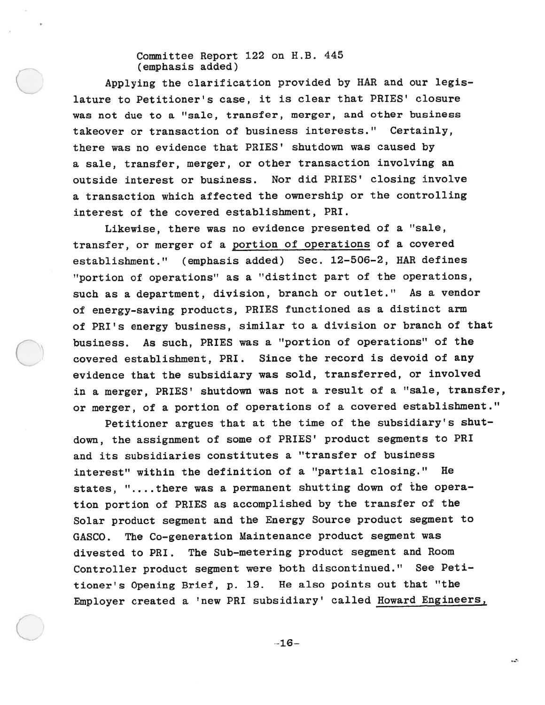Committee Report 122 on H.B. 445 (emphasis added)

Applying the clarification provided by HAR and our legis lature to Petitioner's case, it is clear that PRIES' closure was not due to <sup>a</sup> "sale, transfer, merger, and other business takeover or transaction of business interests." Certainly, there was no evidence that PRIES' shutdown was caused by <sup>a</sup> sale, transfer, merger, or other transaction involving an outside interest or business. Nor did PRIES' closing involve <sup>a</sup> transaction which affected the ownership or the controlling interest of the covered establishment, PRI.

Likewise, there was no evidence presented of <sup>a</sup> "sale, transfer, or merger of <sup>a</sup> portion of operations of <sup>a</sup> covered establishment." (emphasis added) Sec. 12—506—2, HAR defines "portion of operations" as <sup>a</sup> "distinct par<sup>t</sup> of the operations, such as <sup>a</sup> department, division, branch or outlet." As <sup>a</sup> vendor of energy-saving products, PRIES functioned as <sup>a</sup> distinct arm of PRI's energy business, similar to <sup>a</sup> division or branch of that business. As such, PRIES was <sup>a</sup> "portion of operations" of the covered establishment, PRI. Since the record is devoid of any evidence that the subsidiary was sold, transferred, or involved in <sup>a</sup> merger, PRIES' shutdown was not <sup>a</sup> result of <sup>a</sup> "sale, transfer, or merger, of <sup>a</sup> portion of operations of <sup>a</sup> covered establishment."

Petitioner argues that at the time of the subsidiary's shut down, the assignment of some of PRIES' product segments to PRI and its subsidiaries constitutes <sup>a</sup> "transfer of business interest" within the definition of <sup>a</sup> "partial closing." He states, "....there was a permanent shutting down of the operation portion of PRIES as accomplished by the transfer of the Solar product segmen<sup>t</sup> and the Energy Source product segmen<sup>t</sup> to GASCO. The Co—generation Maintenance product segmen<sup>t</sup> was divested to PRI. The Sub—metering product segmen<sup>t</sup> and Room Controller product segmen<sup>t</sup> were both discontinued." See Peti tioner's Opening Brief, p. 19. He also points out that "the Employer created <sup>a</sup> 'new PRI subsidiary' called Howard Engineers,

—16—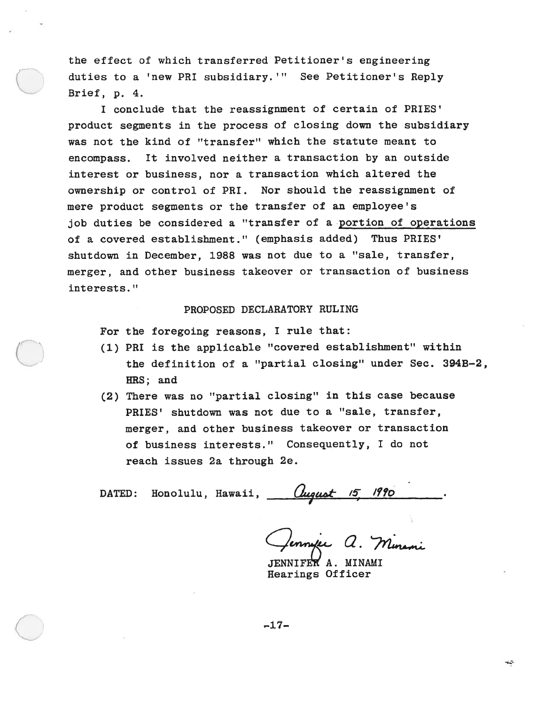the effect of which transferred Petitioner's engineering duties to <sup>a</sup> 'new PRI subsidiary. '" See Petitioner's Reply Brief, p. 4.

I conclude that the reassignment of certain of PRIES' product segments in the process of closing down the subsidiary was not the kind of "transfer" which the statute meant to encompass. It involved neither <sup>a</sup> transaction by an outside interest or business, nor <sup>a</sup> transaction which altered the ownership or control of PRI. Nor should the reassignment of mere product segments or the transfer of an employee's job duties be considered <sup>a</sup> "transfer of <sup>a</sup> portion of operations of <sup>a</sup> covered establishment." (emphasis added) Thus PRIES' shutdown in December, 1988 was not due to a "sale, transfer, merger, and other business takeover or transaction of business interests."

# PROPOSED DECLARATORY RULING

For the foregoing reasons, <sup>I</sup> rule that:

- (1) PRI is the applicable "covered establishment" within the definition of <sup>a</sup> "partial closing" under Sec. 394B—2, HRS; and
- (2) There was no "partial closing" in this case because PRIES' shutdown was not due to <sup>a</sup> "sale, transfer, merger, and other business takeover or transaction of business interests." Consequently, I do not reach issues 2a through 2e.

DATED: Honolulu, Hawaii, Uugust 15

<del>.</del><br>mafee a. Minami

JENNIFEK A. MINAMI Hearings Officer

 $-17-$